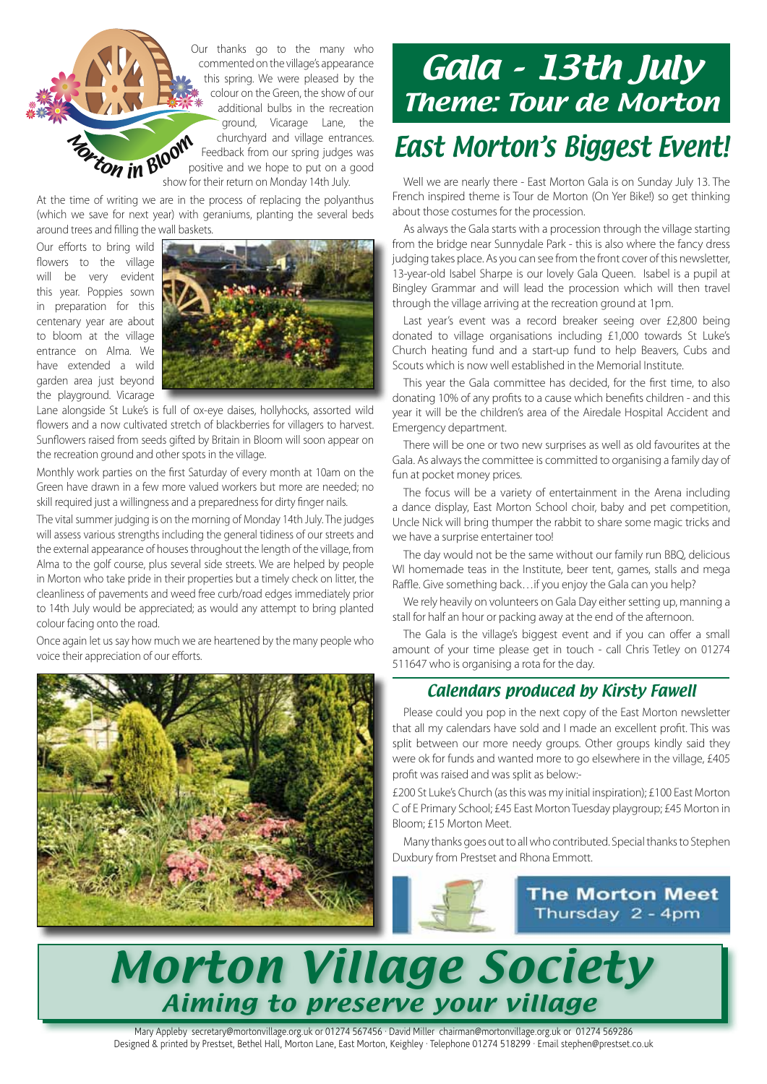Our thanks go to the many who commented on the village's appearance this spring. We were pleased by the colour on the Green, the show of our additional bulbs in the recreation ground, Vicarage Lane, the churchyard and village entrances. Feedback from our spring judges was positive and we hope to put on a good show for their return on Monday 14th July.

At the time of writing we are in the process of replacing the polyanthus (which we save for next year) with geraniums, planting the several beds around trees and filling the wall baskets.

Our efforts to bring wild flowers to the village will be very evident this year. Poppies sown in preparation for this centenary year are about to bloom at the village entrance on Alma. We have extended a wild garden area just beyond the playground. Vicarage

**More ton in Bloom** 



Lane alongside St Luke's is full of ox-eye daises, hollyhocks, assorted wild flowers and a now cultivated stretch of blackberries for villagers to harvest. Sunflowers raised from seeds gifted by Britain in Bloom will soon appear on the recreation ground and other spots in the village.

Monthly work parties on the first Saturday of every month at 10am on the Green have drawn in a few more valued workers but more are needed; no skill required just a willingness and a preparedness for dirty finger nails.

The vital summer judging is on the morning of Monday 14th July. The judges will assess various strengths including the general tidiness of our streets and the external appearance of houses throughout the length of the village, from Alma to the golf course, plus several side streets. We are helped by people in Morton who take pride in their properties but a timely check on litter, the cleanliness of pavements and weed free curb/road edges immediately prior to 14th July would be appreciated; as would any attempt to bring planted colour facing onto the road.

Once again let us say how much we are heartened by the many people who voice their appreciation of our efforts.



## Gala - 13th July Theme: Tour de Morton East Morton's Biggest Event!

Well we are nearly there - East Morton Gala is on Sunday July 13. The French inspired theme is Tour de Morton (On Yer Bike!) so get thinking about those costumes for the procession.

As always the Gala starts with a procession through the village starting from the bridge near Sunnydale Park - this is also where the fancy dress judging takes place. As you can see from the front cover of this newsletter, 13-year-old Isabel Sharpe is our lovely Gala Queen. Isabel is a pupil at Bingley Grammar and will lead the procession which will then travel through the village arriving at the recreation ground at 1pm.

Last year's event was a record breaker seeing over £2,800 being donated to village organisations including £1,000 towards St Luke's Church heating fund and a start-up fund to help Beavers, Cubs and Scouts which is now well established in the Memorial Institute.

This year the Gala committee has decided, for the first time, to also donating 10% of any profits to a cause which benefits children - and this year it will be the children's area of the Airedale Hospital Accident and Emergency department.

There will be one or two new surprises as well as old favourites at the Gala. As always the committee is committed to organising a family day of fun at pocket money prices.

The focus will be a variety of entertainment in the Arena including a dance display, East Morton School choir, baby and pet competition, Uncle Nick will bring thumper the rabbit to share some magic tricks and we have a surprise entertainer too!

The day would not be the same without our family run BBQ, delicious WI homemade teas in the Institute, beer tent, games, stalls and mega Raffle. Give something back…if you enjoy the Gala can you help?

We rely heavily on volunteers on Gala Day either setting up, manning a stall for half an hour or packing away at the end of the afternoon.

The Gala is the village's biggest event and if you can offer a small amount of your time please get in touch - call Chris Tetley on 01274 511647 who is organising a rota for the day.

#### Calendars produced by Kirsty Fawell

Please could you pop in the next copy of the East Morton newsletter that all my calendars have sold and I made an excellent profit. This was split between our more needy groups. Other groups kindly said they were ok for funds and wanted more to go elsewhere in the village, £405 profit was raised and was split as below:-

£200 St Luke's Church (as this was my initial inspiration); £100 East Morton C of E Primary School; £45 East Morton Tuesday playgroup; £45 Morton in Bloom; £15 Morton Meet.

Many thanks goes out to all who contributed. Special thanks to Stephen Duxbury from Prestset and Rhona Emmott.



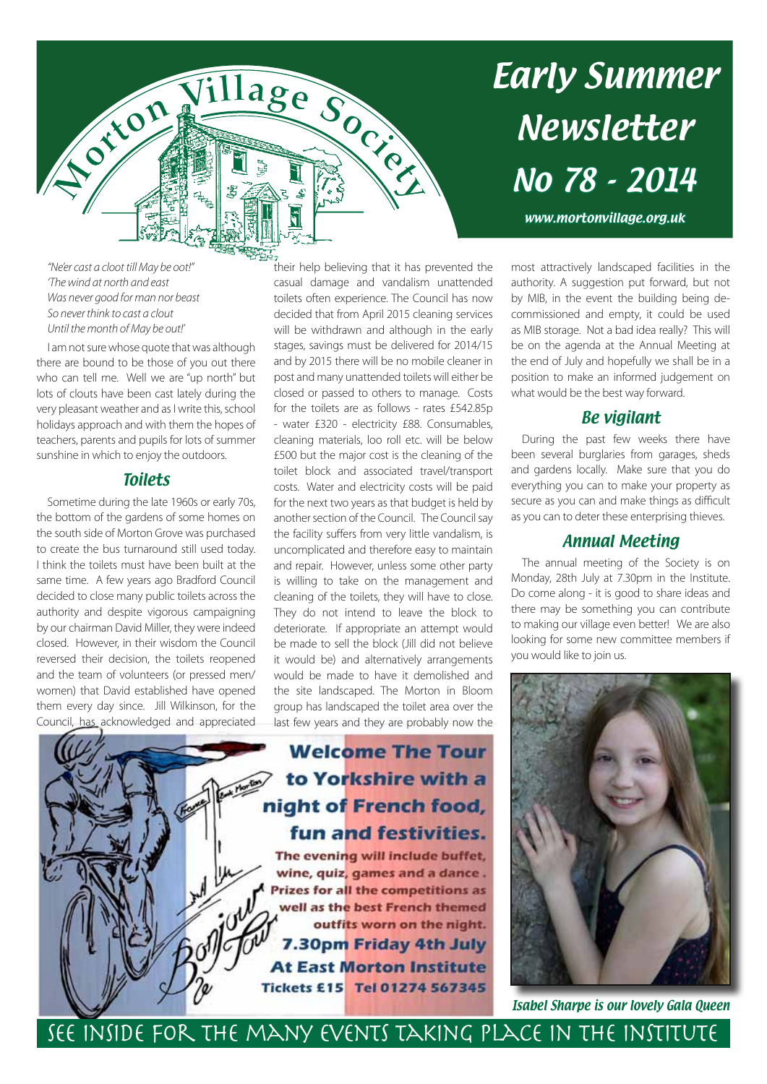

# Early Summer Newsletter No 78 - 2014

www.mortonvillage.org.uk

*"Ne'er cast a cloot till May be oot!" 'The wind at north and east Was never good for man nor beast So never think to cast a clout Until the month of May be out!'*

I am not sure whose quote that was although there are bound to be those of you out there who can tell me. Well we are "up north" but lots of clouts have been cast lately during the very pleasant weather and as I write this, school holidays approach and with them the hopes of teachers, parents and pupils for lots of summer sunshine in which to enjoy the outdoors.

#### **Toilets**

Sometime during the late 1960s or early 70s, the bottom of the gardens of some homes on the south side of Morton Grove was purchased to create the bus turnaround still used today. I think the toilets must have been built at the same time. A few years ago Bradford Council decided to close many public toilets across the authority and despite vigorous campaigning by our chairman David Miller, they were indeed closed. However, in their wisdom the Council reversed their decision, the toilets reopened and the team of volunteers (or pressed men/ women) that David established have opened them every day since. Jill Wilkinson, for the Council, has acknowledged and appreciated

their help believing that it has prevented the casual damage and vandalism unattended toilets often experience. The Council has now decided that from April 2015 cleaning services will be withdrawn and although in the early stages, savings must be delivered for 2014/15 and by 2015 there will be no mobile cleaner in post and many unattended toilets will either be closed or passed to others to manage. Costs for the toilets are as follows - rates £542.85p - water £320 - electricity £88. Consumables, cleaning materials, loo roll etc. will be below £500 but the major cost is the cleaning of the toilet block and associated travel/transport costs. Water and electricity costs will be paid for the next two years as that budget is held by another section of the Council. The Council say the facility suffers from very little vandalism, is uncomplicated and therefore easy to maintain and repair. However, unless some other party is willing to take on the management and cleaning of the toilets, they will have to close. They do not intend to leave the block to deteriorate. If appropriate an attempt would be made to sell the block (Jill did not believe it would be) and alternatively arrangements would be made to have it demolished and the site landscaped. The Morton in Bloom group has landscaped the toilet area over the last few years and they are probably now the

## **Welcome The Tour** to Yorkshire with a night of French food, fun and festivities.

The evening will include buffet, wine, quiz, games and a dance. **Prizes for all the competitions as** well as the best French themed outfits worn on the night. 7.30pm Friday 4th July **At East Morton Institute** Tickets £15 Tel 01274 567345

most attractively landscaped facilities in the authority. A suggestion put forward, but not by MIB, in the event the building being decommissioned and empty, it could be used as MIB storage. Not a bad idea really? This will be on the agenda at the Annual Meeting at the end of July and hopefully we shall be in a position to make an informed judgement on what would be the best way forward.

### Be vigilant

During the past few weeks there have been several burglaries from garages, sheds and gardens locally. Make sure that you do everything you can to make your property as secure as you can and make things as difficult as you can to deter these enterprising thieves.

#### Annual Meeting

The annual meeting of the Society is on Monday, 28th July at 7.30pm in the Institute. Do come along - it is good to share ideas and there may be something you can contribute to making our village even better! We are also looking for some new committee members if you would like to join us.



Isabel Sharpe is our lovely Gala Queen

See inside for the many events taking place in the Institute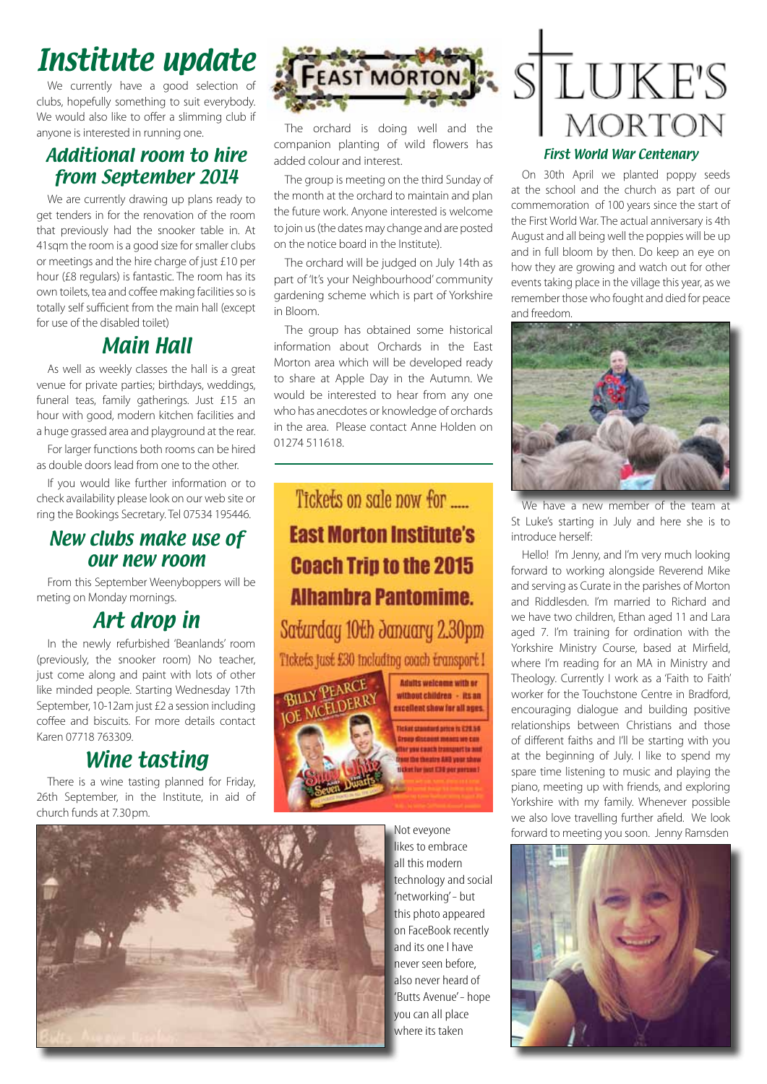## Institute update

We currently have a good selection of clubs, hopefully something to suit everybody. We would also like to offer a slimming club if anyone is interested in running one.

## Additional room to hire from September 2014

We are currently drawing up plans ready to get tenders in for the renovation of the room that previously had the snooker table in. At 41sqm the room is a good size for smaller clubs or meetings and the hire charge of just £10 per hour (£8 regulars) is fantastic. The room has its own toilets, tea and coffee making facilities so is totally self sufficient from the main hall (except for use of the disabled toilet)

## Main Hall

As well as weekly classes the hall is a great venue for private parties; birthdays, weddings, funeral teas, family gatherings. Just £15 an hour with good, modern kitchen facilities and a huge grassed area and playground at the rear.

For larger functions both rooms can be hired as double doors lead from one to the other.

If you would like further information or to check availability please look on our web site or ring the Bookings Secretary. Tel 07534 195446.

## New clubs make use of our new room

From this September Weenyboppers will be meting on Monday mornings.

## Art drop in

In the newly refurbished 'Beanlands' room (previously, the snooker room) No teacher, just come along and paint with lots of other like minded people. Starting Wednesday 17th September, 10-12am just £2 a session including coffee and biscuits. For more details contact Karen 07718 763309.

## Wine tasting

There is a wine tasting planned for Friday, 26th September, in the Institute, in aid of church funds at 7.30pm.



The orchard is doing well and the companion planting of wild flowers has added colour and interest.

The group is meeting on the third Sunday of the month at the orchard to maintain and plan the future work. Anyone interested is welcome to join us (the dates may change and are posted on the notice board in the Institute).

The orchard will be judged on July 14th as part of 'It's your Neighbourhood' community gardening scheme which is part of Yorkshire in Bloom.

The group has obtained some historical information about Orchards in the East Morton area which will be developed ready to share at Apple Day in the Autumn. We would be interested to hear from any one who has anecdotes or knowledge of orchards in the area. Please contact Anne Holden on 01274 511618.

## Tickets on sale now for ..... **East Morton Institute's Coach Trip to the 2015 Alhambra Pantomime.**

Saturday 10th January 2.30pm Tickets just £30 including coach transport I



without children - its an excellent show for all ages Ticket standard article is £28.56 **Dropp discount means up can** In you canch transport to and or the theatre AND your show at for mot E30 per percent

Adults welcome with or



# **LUKE'S MORTON**

#### First World War Centenary

On 30th April we planted poppy seeds at the school and the church as part of our commemoration of 100 years since the start of the First World War. The actual anniversary is 4th August and all being well the poppies will be up and in full bloom by then. Do keep an eye on how they are growing and watch out for other events taking place in the village this year, as we remember those who fought and died for peace and freedom.



We have a new member of the team at St Luke's starting in July and here she is to introduce herself:

Hello! I'm Jenny, and I'm very much looking forward to working alongside Reverend Mike and serving as Curate in the parishes of Morton and Riddlesden. I'm married to Richard and we have two children, Ethan aged 11 and Lara aged 7. I'm training for ordination with the Yorkshire Ministry Course, based at Mirfield, where I'm reading for an MA in Ministry and Theology. Currently I work as a 'Faith to Faith' worker for the Touchstone Centre in Bradford, encouraging dialogue and building positive relationships between Christians and those of different faiths and I'll be starting with you at the beginning of July. I like to spend my spare time listening to music and playing the piano, meeting up with friends, and exploring Yorkshire with my family. Whenever possible we also love travelling further afield. We look Not eveyone forward to meeting you soon. Jenny Ramsden